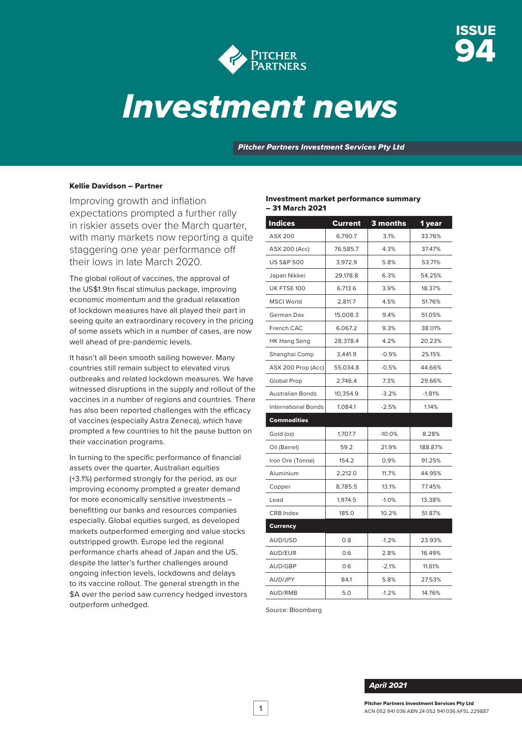



# *Investment news*

*Pitcher Partners Investment Services Pty Ltd*

#### Kellie Davidson – Partner

Improving growth and inflation expectations prompted a further rally in riskier assets over the March quarter, with many markets now reporting a quite staggering one year performance off their lows in late March 2020.

The global rollout of vaccines, the approval of the US\$1.9tn fiscal stimulus package, improving economic momentum and the gradual relaxation of lockdown measures have all played their part in seeing quite an extraordinary recovery in the pricing of some assets which in a number of cases, are now well ahead of pre-pandemic levels.

It hasn't all been smooth sailing however. Many countries still remain subject to elevated virus outbreaks and related lockdown measures. We have witnessed disruptions in the supply and rollout of the vaccines in a number of regions and countries. There has also been reported challenges with the efficacy of vaccines (especially Astra Zeneca), which have prompted a few countries to hit the pause button on their vaccination programs.

In turning to the specific performance of financial assets over the quarter, Australian equities (+3.1%) performed strongly for the period, as our improving economy prompted a greater demand for more economically sensitive investments – benefitting our banks and resources companies especially. Global equities surged, as developed markets outperformed emerging and value stocks outstripped growth. Europe led the regional performance charts ahead of Japan and the US, despite the latter's further challenges around ongoing infection levels, lockdowns and delays to its vaccine rollout. The general strength in the \$A over the period saw currency hedged investors outperform unhedged.

#### Investment market performance summary – 31 March 2021

| <b>Indices</b>             | Current  | 3 months          | 1 year   |  |
|----------------------------|----------|-------------------|----------|--|
| <b>ASX 200</b>             | 6,790.7  | 3.1%              | 33.76%   |  |
| <b>ASX 200 (Acc)</b>       | 76,585.7 | 4.3%              | 37.47%   |  |
| <b>US S&amp;P 500</b>      | 3,972.9  | 5.8%              | 53.71%   |  |
| Japan Nikkei               | 29,178.8 | 6.3%              | 54.25%   |  |
| UK FTSE 100                | 6,713.6  | 3.9%              | 18.37%   |  |
| <b>MSCI World</b>          | 2,811.7  | 4.5%              | 51.76%   |  |
| German Dax                 | 15,008.3 | 9.4%              | 51.05%   |  |
| French CAC                 | 6,067.2  | 9.3%              | 38.01%   |  |
| <b>HK Hang Seng</b>        | 28,378.4 | 4.2%              | 20.23%   |  |
| Shanghai Comp              | 3,441.9  | $-0.9%$           | 25.15%   |  |
| ASX 200 Prop (Acc)         | 55,034.8 | $-0.5%$           | 44.66%   |  |
| Global Prop                | 2,746.4  | 7.3%              | 29.66%   |  |
| <b>Australian Bonds</b>    | 10,354.9 | $-3.2%$           | $-1.81%$ |  |
| <b>International Bonds</b> | 1,084.1  | $-2.5%$           | 1.14%    |  |
| <b>Commodities</b>         |          |                   |          |  |
| Gold (oz)                  | 1,707.7  | $-10.0%$          | 8.28%    |  |
| Oil (Barrel)               | 59.2     | 21.9%             | 188.87%  |  |
| Iron Ore (Tonne)           | 154.2    | 0.9%              | 91.25%   |  |
| Aluminium                  | 2,212.0  | 11.7%             | 44.95%   |  |
| Copper                     | 8,785.5  | 13.1%             | 77.45%   |  |
| Lead                       | 1,974.5  | $-1.0%$           | 13.38%   |  |
| <b>CRB</b> Index           | 185.0    | 10.2%             | 51.87%   |  |
| <b>Currency</b>            |          |                   |          |  |
| AUD/USD                    | 0.8      | $-1.2%$           | 23.93%   |  |
| AUD/EUR                    | 0.6      | 2.8%              | 16.49%   |  |
| AUD/GBP                    | 0.6      | $-2.1%$           | 11.61%   |  |
| AUD/JPY                    | 84.1     | 5.8%<br>27.53%    |          |  |
| <b>AUD/RMB</b>             | 5.0      | $-1.2%$<br>14.76% |          |  |

Source: Bloomberg

#### *April 2021*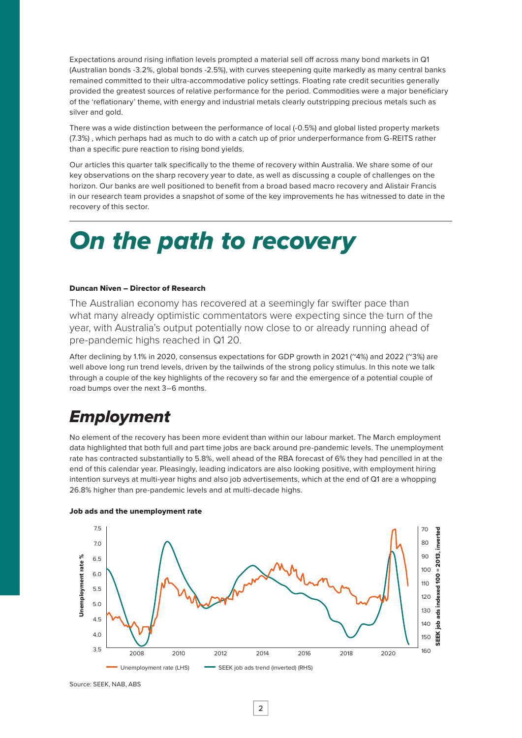Expectations around rising inflation levels prompted a material sell off across many bond markets in Q1 (Australian bonds -3.2%, global bonds -2.5%), with curves steepening quite markedly as many central banks remained committed to their ultra-accommodative policy settings. Floating rate credit securities generally provided the greatest sources of relative performance for the period. Commodities were a major beneficiary of the 'reflationary' theme, with energy and industrial metals clearly outstripping precious metals such as silver and gold.

There was a wide distinction between the performance of local (-0.5%) and global listed property markets (7.3%) , which perhaps had as much to do with a catch up of prior underperformance from G-REITS rather than a specific pure reaction to rising bond yields.

Our articles this quarter talk specifically to the theme of recovery within Australia. We share some of our key observations on the sharp recovery year to date, as well as discussing a couple of challenges on the horizon. Our banks are well positioned to benefit from a broad based macro recovery and Alistair Francis in our research team provides a snapshot of some of the key improvements he has witnessed to date in the recovery of this sector.

## *On the path to recovery*

#### Duncan Niven – Director of Research

The Australian economy has recovered at a seemingly far swifter pace than what many already optimistic commentators were expecting since the turn of the year, with Australia's output potentially now close to or already running ahead of pre-pandemic highs reached in Q1 20.

After declining by 1.1% in 2020, consensus expectations for GDP growth in 2021 (~4%) and 2022 (~3%) are well above long run trend levels, driven by the tailwinds of the strong policy stimulus. In this note we talk through a couple of the key highlights of the recovery so far and the emergence of a potential couple of road bumps over the next 3–6 months.

### *Employment*

No element of the recovery has been more evident than within our labour market. The March employment data highlighted that both full and part time jobs are back around pre-pandemic levels. The unemployment rate has contracted substantially to 5.8%, well ahead of the RBA forecast of 6% they had pencilled in at the end of this calendar year. Pleasingly, leading indicators are also looking positive, with employment hiring intention surveys at multi-year highs and also job advertisements, which at the end of Q1 are a whopping 26.8% higher than pre-pandemic levels and at multi-decade highs.



#### Job ads and the unemployment rate

Source: SEEK, NAB, ABS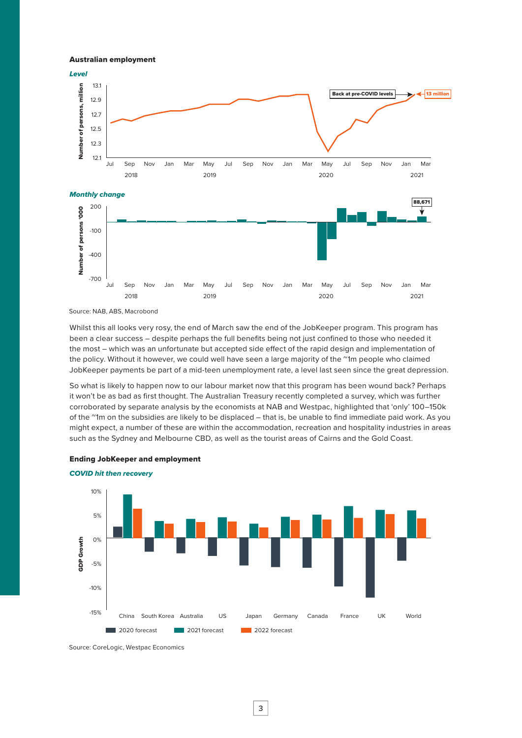Australian employment



Source: NAB, ABS, Macrobond

Whilst this all looks very rosy, the end of March saw the end of the JobKeeper program. This program has been a clear success – despite perhaps the full benefits being not just confined to those who needed it the most – which was an unfortunate but accepted side effect of the rapid design and implementation of the policy. Without it however, we could well have seen a large majority of the ~1m people who claimed JobKeeper payments be part of a mid-teen unemployment rate, a level last seen since the great depression.

So what is likely to happen now to our labour market now that this program has been wound back? Perhaps it won't be as bad as first thought. The Australian Treasury recently completed a survey, which was further corroborated by separate analysis by the economists at NAB and Westpac, highlighted that 'only' 100–150k of the ~1m on the subsidies are likely to be displaced – that is, be unable to find immediate paid work. As you might expect, a number of these are within the accommodation, recreation and hospitality industries in areas such as the Sydney and Melbourne CBD, as well as the tourist areas of Cairns and the Gold Coast.



Ending JobKeeper and employment

*COVID hit then recovery*

Source: CoreLogic, Westpac Economics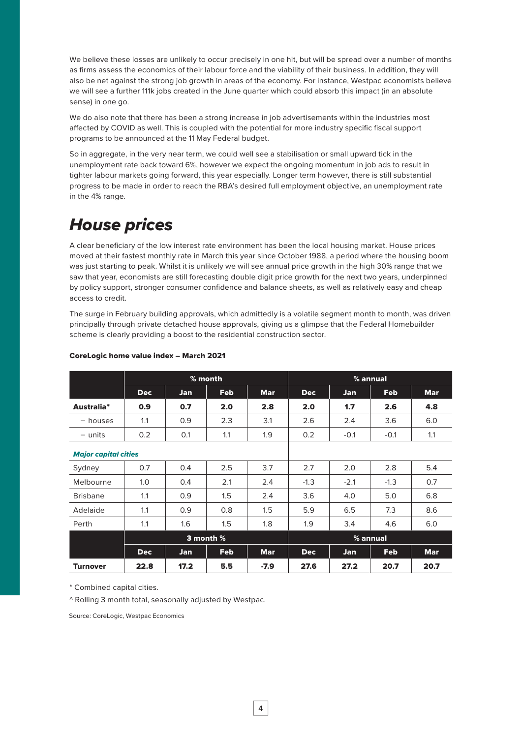We believe these losses are unlikely to occur precisely in one hit, but will be spread over a number of months as firms assess the economics of their labour force and the viability of their business. In addition, they will also be net against the strong job growth in areas of the economy. For instance, Westpac economists believe we will see a further 111k jobs created in the June quarter which could absorb this impact (in an absolute sense) in one go.

We do also note that there has been a strong increase in job advertisements within the industries most affected by COVID as well. This is coupled with the potential for more industry specific fiscal support programs to be announced at the 11 May Federal budget.

So in aggregate, in the very near term, we could well see a stabilisation or small upward tick in the unemployment rate back toward 6%, however we expect the ongoing momentum in job ads to result in tighter labour markets going forward, this year especially. Longer term however, there is still substantial progress to be made in order to reach the RBA's desired full employment objective, an unemployment rate in the 4% range.

### *House prices*

A clear beneficiary of the low interest rate environment has been the local housing market. House prices moved at their fastest monthly rate in March this year since October 1988, a period where the housing boom was just starting to peak. Whilst it is unlikely we will see annual price growth in the high 30% range that we saw that year, economists are still forecasting double digit price growth for the next two years, underpinned by policy support, stronger consumer confidence and balance sheets, as well as relatively easy and cheap access to credit.

The surge in February building approvals, which admittedly is a volatile segment month to month, was driven principally through private detached house approvals, giving us a glimpse that the Federal Homebuilder scheme is clearly providing a boost to the residential construction sector.

|                             | % month     |            |            |            | % annual   |            |            |            |
|-----------------------------|-------------|------------|------------|------------|------------|------------|------------|------------|
|                             | <b>Dec</b>  | <b>Jan</b> | <b>Feb</b> | <b>Mar</b> | <b>Dec</b> | <b>Jan</b> | <b>Feb</b> | <b>Mar</b> |
| Australia*                  | 0.9         | 0.7        | 2.0        | 2.8        | 2.0        | 1.7        | 2.6        | 4.8        |
| - houses                    | 1.1         | 0.9        | 2.3        | 3.1        | 2.6        | 2.4        | 3.6        | 6.0        |
| $-$ units                   | 0.2         | 0.1        | 1.1        | 1.9        | 0.2        | $-0.1$     | $-0.1$     | 1.1        |
| <b>Major capital cities</b> |             |            |            |            |            |            |            |            |
| Sydney                      | 0.7         | 0.4        | 2.5        | 3.7        | 2.7        | 2.0        | 2.8        | 5.4        |
| Melbourne                   | 1.0         | 0.4        | 2.1        | 2.4        | $-1.3$     | $-2.1$     | $-1.3$     | 0.7        |
| <b>Brisbane</b>             | 1.1         | 0.9        | 1.5        | 2.4        | 3.6        | 4.0        | 5.0        | 6.8        |
| Adelaide                    | 1.1         | 0.9        | 0.8        | 1.5        | 5.9        | 6.5        | 7.3        | 8.6        |
| Perth                       | 1.1         | 1.6        | 1.5        | 1.8        | 1.9        | 3.4        | 4.6        | 6.0        |
|                             | 3 month $%$ |            |            |            | % annual   |            |            |            |
|                             | <b>Dec</b>  | <b>Jan</b> | <b>Feb</b> | <b>Mar</b> | <b>Dec</b> | Jan        | <b>Feb</b> | <b>Mar</b> |
| <b>Turnover</b>             | 22.8        | 17.2       | 5.5        | -7.9       | 27.6       | 27.2       | 20.7       | 20.7       |

#### CoreLogic home value index – March 2021

\* Combined capital cities.

^ Rolling 3 month total, seasonally adjusted by Westpac.

Source: CoreLogic, Westpac Economics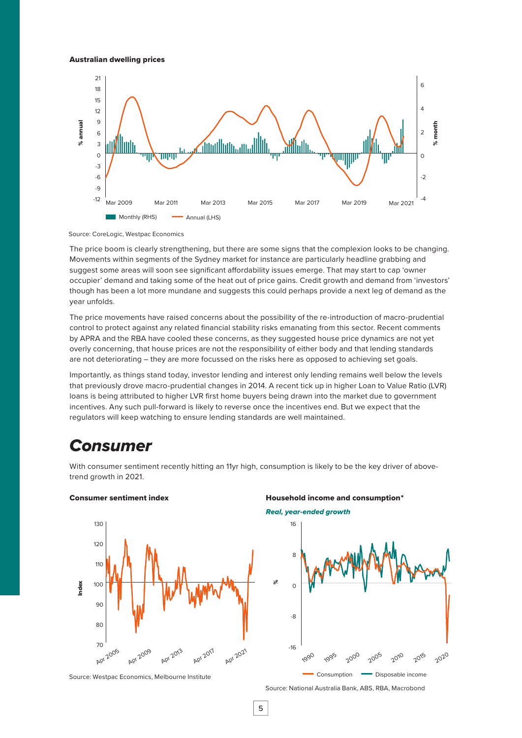#### Australian dwelling prices



Source: CoreLogic, Westpac Economics

The price boom is clearly strengthening, but there are some signs that the complexion looks to be changing. Movements within segments of the Sydney market for instance are particularly headline grabbing and suggest some areas will soon see significant affordability issues emerge. That may start to cap 'owner occupier' demand and taking some of the heat out of price gains. Credit growth and demand from 'investors' though has been a lot more mundane and suggests this could perhaps provide a next leg of demand as the year unfolds.

The price movements have raised concerns about the possibility of the re-introduction of macro-prudential control to protect against any related financial stability risks emanating from this sector. Recent comments by APRA and the RBA have cooled these concerns, as they suggested house price dynamics are not yet overly concerning, that house prices are not the responsibility of either body and that lending standards are not deteriorating – they are more focussed on the risks here as opposed to achieving set goals.

Importantly, as things stand today, investor lending and interest only lending remains well below the levels that previously drove macro-prudential changes in 2014. A recent tick up in higher Loan to Value Ratio (LVR) loans is being attributed to higher LVR first home buyers being drawn into the market due to government incentives. Any such pull-forward is likely to reverse once the incentives end. But we expect that the regulators will keep watching to ensure lending standards are well maintained.

### *Consumer*

With consumer sentiment recently hitting an 11yr high, consumption is likely to be the key driver of abovetrend growth in 2021.





#### Consumer sentiment index **Exercise 2** Household income and consumption<sup>\*</sup>

*Real, year-ended growth*



Source: National Australia Bank, ABS, RBA, Macrobond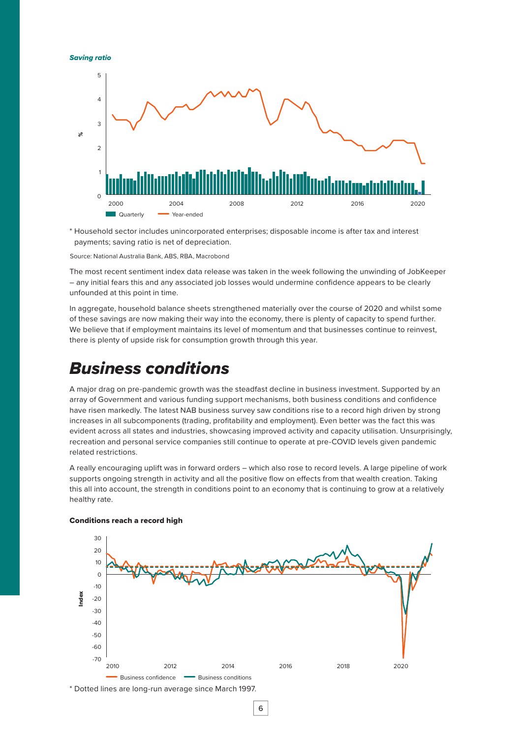*Saving ratio*



\* Household sector includes unincorporated enterprises; disposable income is after tax and interest payments; saving ratio is net of depreciation.

Source: National Australia Bank, ABS, RBA, Macrobond

The most recent sentiment index data release was taken in the week following the unwinding of JobKeeper – any initial fears this and any associated job losses would undermine confidence appears to be clearly unfounded at this point in time.

In aggregate, household balance sheets strengthened materially over the course of 2020 and whilst some of these savings are now making their way into the economy, there is plenty of capacity to spend further. We believe that if employment maintains its level of momentum and that businesses continue to reinvest, there is plenty of upside risk for consumption growth through this year.

### *Business conditions*

A major drag on pre-pandemic growth was the steadfast decline in business investment. Supported by an array of Government and various funding support mechanisms, both business conditions and confidence have risen markedly. The latest NAB business survey saw conditions rise to a record high driven by strong increases in all subcomponents (trading, profitability and employment). Even better was the fact this was evident across all states and industries, showcasing improved activity and capacity utilisation. Unsurprisingly, recreation and personal service companies still continue to operate at pre-COVID levels given pandemic related restrictions.

A really encouraging uplift was in forward orders – which also rose to record levels. A large pipeline of work supports ongoing strength in activity and all the positive flow on effects from that wealth creation. Taking this all into account, the strength in conditions point to an economy that is continuing to grow at a relatively healthy rate.



#### Conditions reach a record high

\* Dotted lines are long-run average since March 1997.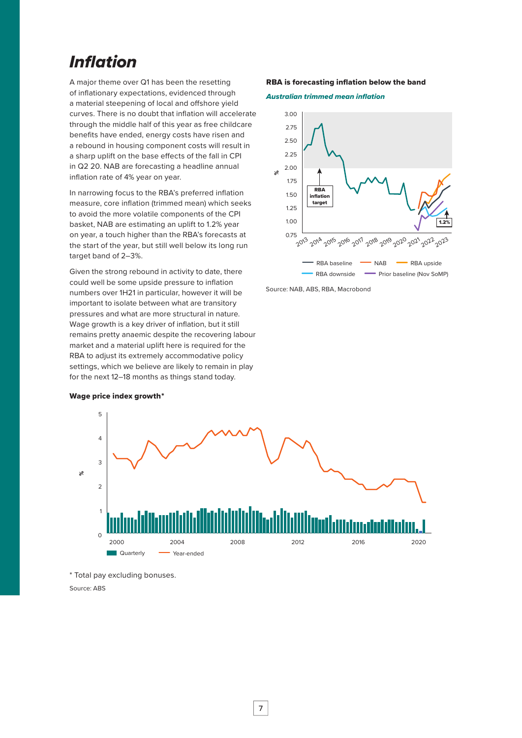### *Inflation*

A major theme over Q1 has been the resetting of inflationary expectations, evidenced through a material steepening of local and offshore yield curves. There is no doubt that inflation will accelerate through the middle half of this year as free childcare benefits have ended, energy costs have risen and a rebound in housing component costs will result in a sharp uplift on the base effects of the fall in CPI in Q2 20. NAB are forecasting a headline annual inflation rate of 4% year on year.

In narrowing focus to the RBA's preferred inflation measure, core inflation (trimmed mean) which seeks to avoid the more volatile components of the CPI basket, NAB are estimating an uplift to 1.2% year on year, a touch higher than the RBA's forecasts at the start of the year, but still well below its long run target band of 2–3%.

Given the strong rebound in activity to date, there could well be some upside pressure to inflation numbers over 1H21 in particular, however it will be important to isolate between what are transitory pressures and what are more structural in nature. Wage growth is a key driver of inflation, but it still remains pretty anaemic despite the recovering labour market and a material uplift here is required for the RBA to adjust its extremely accommodative policy settings, which we believe are likely to remain in play for the next 12–18 months as things stand today.

#### RBA is forecasting inflation below the band





Source: NAB, ABS, RBA, Macrobond



#### Wage price index growth \*

\* Total pay excluding bonuses.

Source: ABS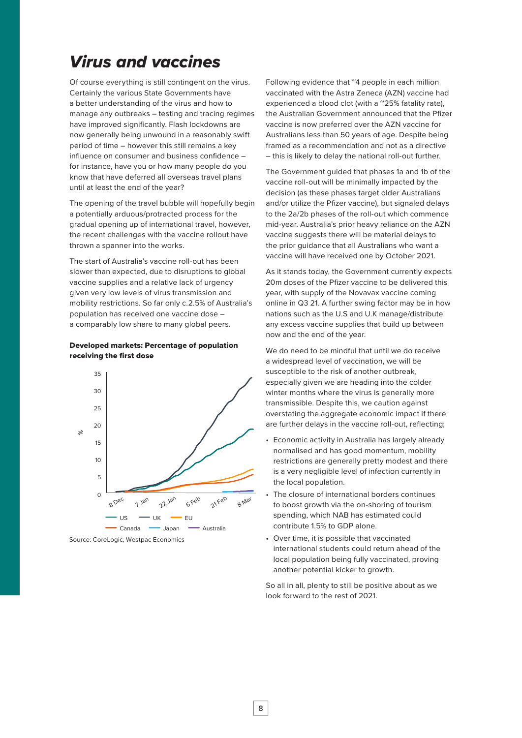### *Virus and vaccines*

Of course everything is still contingent on the virus. Certainly the various State Governments have a better understanding of the virus and how to manage any outbreaks – testing and tracing regimes have improved significantly. Flash lockdowns are now generally being unwound in a reasonably swift period of time – however this still remains a key influence on consumer and business confidence – for instance, have you or how many people do you know that have deferred all overseas travel plans until at least the end of the year?

The opening of the travel bubble will hopefully begin a potentially arduous/protracted process for the gradual opening up of international travel, however, the recent challenges with the vaccine rollout have thrown a spanner into the works.

The start of Australia's vaccine roll-out has been slower than expected, due to disruptions to global vaccine supplies and a relative lack of urgency given very low levels of virus transmission and mobility restrictions. So far only c.2.5% of Australia's population has received one vaccine dose – a comparably low share to many global peers.

#### Developed markets: Percentage of population receiving the first dose



Source: Corel ogic, Westpac Economics

Following evidence that "4 people in each million vaccinated with the Astra Zeneca (AZN) vaccine had experienced a blood clot (with a ~25% fatality rate). the Australian Government announced that the Pfizer vaccine is now preferred over the AZN vaccine for Australians less than 50 years of age. Despite being framed as a recommendation and not as a directive – this is likely to delay the national roll-out further.

The Government guided that phases 1a and 1b of the vaccine roll-out will be minimally impacted by the decision (as these phases target older Australians and/or utilize the Pfizer vaccine), but signaled delays to the 2a/2b phases of the roll-out which commence mid-year. Australia's prior heavy reliance on the AZN vaccine suggests there will be material delays to the prior guidance that all Australians who want a vaccine will have received one by October 2021.

As it stands today, the Government currently expects 20m doses of the Pfizer vaccine to be delivered this year, with supply of the Novavax vaccine coming online in Q3 21. A further swing factor may be in how nations such as the U.S and U.K manage/distribute any excess vaccine supplies that build up between now and the end of the year.

We do need to be mindful that until we do receive a widespread level of vaccination, we will be susceptible to the risk of another outbreak, especially given we are heading into the colder winter months where the virus is generally more transmissible. Despite this, we caution against overstating the aggregate economic impact if there are further delays in the vaccine roll-out, reflecting;

- Economic activity in Australia has largely already normalised and has good momentum, mobility restrictions are generally pretty modest and there is a very negligible level of infection currently in the local population.
- The closure of international borders continues to boost growth via the on-shoring of tourism spending, which NAB has estimated could contribute 1.5% to GDP alone.
- Over time, it is possible that vaccinated international students could return ahead of the local population being fully vaccinated, proving another potential kicker to growth.

So all in all, plenty to still be positive about as we look forward to the rest of 2021.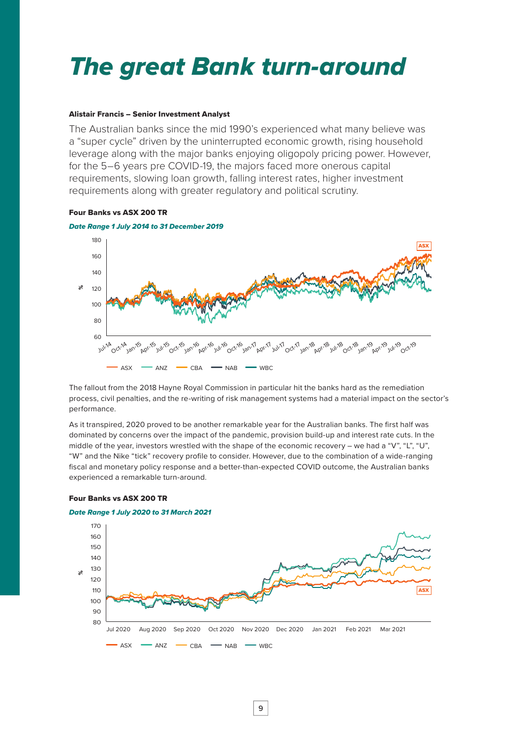## *The great Bank turn-around*

#### Alistair Francis – Senior Investment Analyst

The Australian banks since the mid 1990's experienced what many believe was a "super cycle" driven by the uninterrupted economic growth, rising household leverage along with the major banks enjoying oligopoly pricing power. However, for the 5–6 years pre COVID-19, the majors faced more onerous capital requirements, slowing loan growth, falling interest rates, higher investment requirements along with greater regulatory and political scrutiny.

#### Four Banks vs ASX 200 TR



The fallout from the 2018 Hayne Royal Commission in particular hit the banks hard as the remediation process, civil penalties, and the re-writing of risk management systems had a material impact on the sector's performance.

As it transpired, 2020 proved to be another remarkable year for the Australian banks. The first half was dominated by concerns over the impact of the pandemic, provision build-up and interest rate cuts. In the middle of the year, investors wrestled with the shape of the economic recovery – we had a "V", "L", "U", "W" and the Nike "tick" recovery profile to consider. However, due to the combination of a wide-ranging fiscal and monetary policy response and a better-than-expected COVID outcome, the Australian banks experienced a remarkable turn-around.

#### Four Banks vs ASX 200 TR



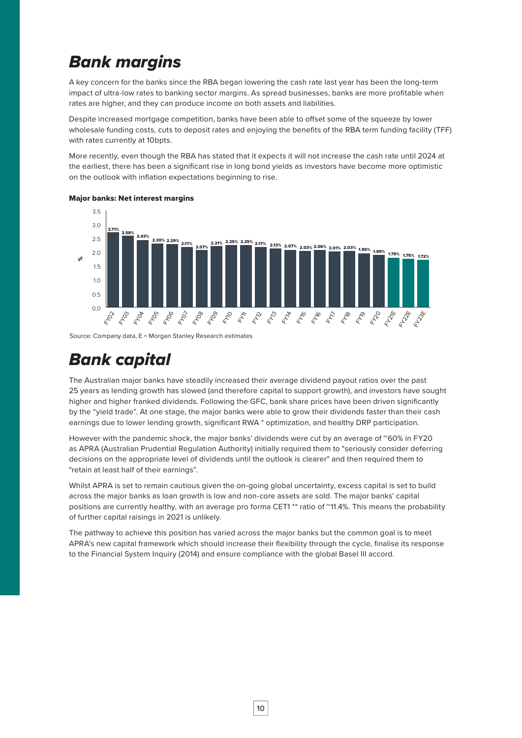## *Bank margins*

A key concern for the banks since the RBA began lowering the cash rate last year has been the long-term impact of ultra-low rates to banking sector margins. As spread businesses, banks are more profitable when rates are higher, and they can produce income on both assets and liabilities.

Despite increased mortgage competition, banks have been able to offset some of the squeeze by lower wholesale funding costs, cuts to deposit rates and enjoying the benefits of the RBA term funding facility (TFF) with rates currently at 10bpts.

More recently, even though the RBA has stated that it expects it will not increase the cash rate until 2024 at the earliest, there has been a significant rise in long bond yields as investors have become more optimistic on the outlook with inflation expectations beginning to rise.



#### Major banks: Net interest margins

Source: Company data, E = Morgan Stanley Research estimates

### *Bank capital*

The Australian major banks have steadily increased their average dividend payout ratios over the past 25 years as lending growth has slowed (and therefore capital to support growth), and investors have sought higher and higher franked dividends. Following the GFC, bank share prices have been driven significantly by the "yield trade". At one stage, the major banks were able to grow their dividends faster than their cash earnings due to lower lending growth, significant RWA \* optimization, and healthy DRP participation.

However with the pandemic shock, the major banks' dividends were cut by an average of ~60% in FY20 as APRA (Australian Prudential Regulation Authority) initially required them to "seriously consider deferring decisions on the appropriate level of dividends until the outlook is clearer" and then required them to "retain at least half of their earnings".

Whilst APRA is set to remain cautious given the on-going global uncertainty, excess capital is set to build across the major banks as loan growth is low and non-core assets are sold. The major banks' capital positions are currently healthy, with an average pro forma CET1<sup>\*\*</sup> ratio of ~11.4%. This means the probability of further capital raisings in 2021 is unlikely.

The pathway to achieve this position has varied across the major banks but the common goal is to meet APRA's new capital framework which should increase their flexibility through the cycle, finalise its response to the Financial System Inquiry (2014) and ensure compliance with the global Basel III accord.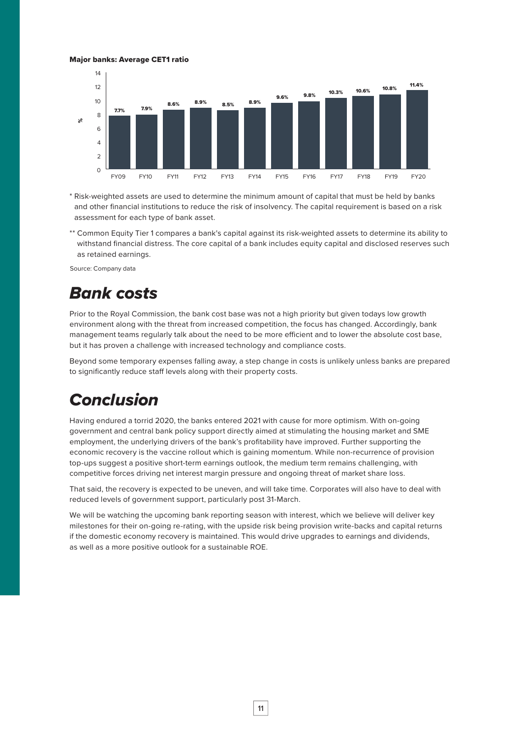#### Major banks: Average CET1 ratio



\* Risk-weighted assets are used to determine the minimum amount of capital that must be held by banks and other financial institutions to reduce the risk of insolvency. The capital requirement is based on a risk assessment for each type of bank asset.

\*\* Common Equity Tier 1 compares a bank's capital against its risk-weighted assets to determine its ability to withstand financial distress. The core capital of a bank includes equity capital and disclosed reserves such as retained earnings.

Source: Company data

### *Bank costs*

Prior to the Royal Commission, the bank cost base was not a high priority but given todays low growth environment along with the threat from increased competition, the focus has changed. Accordingly, bank management teams regularly talk about the need to be more efficient and to lower the absolute cost base, but it has proven a challenge with increased technology and compliance costs.

Beyond some temporary expenses falling away, a step change in costs is unlikely unless banks are prepared to significantly reduce staff levels along with their property costs.

### *Conclusion*

Having endured a torrid 2020, the banks entered 2021 with cause for more optimism. With on-going government and central bank policy support directly aimed at stimulating the housing market and SME employment, the underlying drivers of the bank's profitability have improved. Further supporting the economic recovery is the vaccine rollout which is gaining momentum. While non-recurrence of provision top-ups suggest a positive short-term earnings outlook, the medium term remains challenging, with competitive forces driving net interest margin pressure and ongoing threat of market share loss.

That said, the recovery is expected to be uneven, and will take time. Corporates will also have to deal with reduced levels of government support, particularly post 31-March.

We will be watching the upcoming bank reporting season with interest, which we believe will deliver key milestones for their on-going re-rating, with the upside risk being provision write-backs and capital returns if the domestic economy recovery is maintained. This would drive upgrades to earnings and dividends, as well as a more positive outlook for a sustainable ROE.